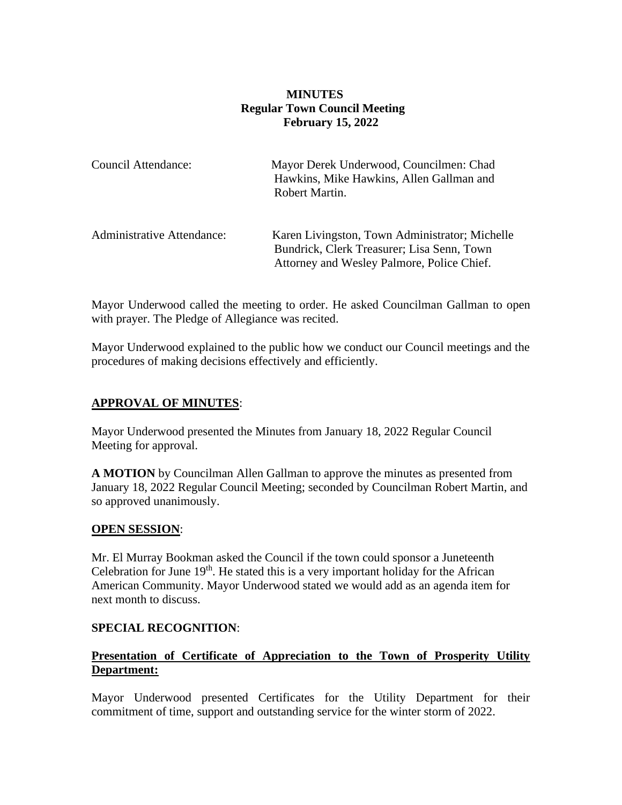## **MINUTES Regular Town Council Meeting February 15, 2022**

| Council Attendance:               | Mayor Derek Underwood, Councilmen: Chad<br>Hawkins, Mike Hawkins, Allen Gallman and<br>Robert Martin.                                      |
|-----------------------------------|--------------------------------------------------------------------------------------------------------------------------------------------|
| <b>Administrative Attendance:</b> | Karen Livingston, Town Administrator; Michelle<br>Bundrick, Clerk Treasurer; Lisa Senn, Town<br>Attorney and Wesley Palmore, Police Chief. |

Mayor Underwood called the meeting to order. He asked Councilman Gallman to open with prayer. The Pledge of Allegiance was recited.

Mayor Underwood explained to the public how we conduct our Council meetings and the procedures of making decisions effectively and efficiently.

## **APPROVAL OF MINUTES**:

Mayor Underwood presented the Minutes from January 18, 2022 Regular Council Meeting for approval.

**A MOTION** by Councilman Allen Gallman to approve the minutes as presented from January 18, 2022 Regular Council Meeting; seconded by Councilman Robert Martin, and so approved unanimously.

#### **OPEN SESSION**:

Mr. El Murray Bookman asked the Council if the town could sponsor a Juneteenth Celebration for June  $19<sup>th</sup>$ . He stated this is a very important holiday for the African American Community. Mayor Underwood stated we would add as an agenda item for next month to discuss.

#### **SPECIAL RECOGNITION**:

## **Presentation of Certificate of Appreciation to the Town of Prosperity Utility Department:**

Mayor Underwood presented Certificates for the Utility Department for their commitment of time, support and outstanding service for the winter storm of 2022.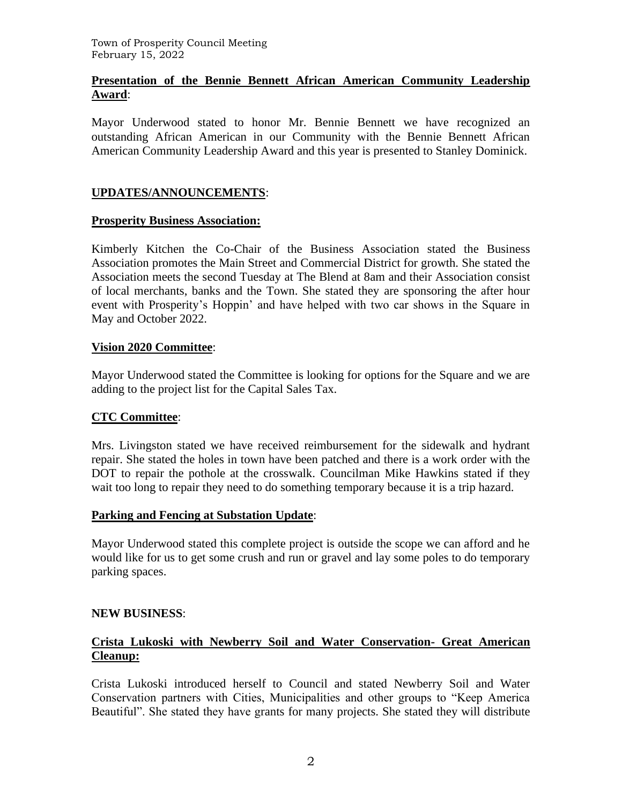#### **Presentation of the Bennie Bennett African American Community Leadership Award**:

Mayor Underwood stated to honor Mr. Bennie Bennett we have recognized an outstanding African American in our Community with the Bennie Bennett African American Community Leadership Award and this year is presented to Stanley Dominick.

## **UPDATES/ANNOUNCEMENTS**:

#### **Prosperity Business Association:**

Kimberly Kitchen the Co-Chair of the Business Association stated the Business Association promotes the Main Street and Commercial District for growth. She stated the Association meets the second Tuesday at The Blend at 8am and their Association consist of local merchants, banks and the Town. She stated they are sponsoring the after hour event with Prosperity's Hoppin' and have helped with two car shows in the Square in May and October 2022.

#### **Vision 2020 Committee**:

Mayor Underwood stated the Committee is looking for options for the Square and we are adding to the project list for the Capital Sales Tax.

### **CTC Committee**:

Mrs. Livingston stated we have received reimbursement for the sidewalk and hydrant repair. She stated the holes in town have been patched and there is a work order with the DOT to repair the pothole at the crosswalk. Councilman Mike Hawkins stated if they wait too long to repair they need to do something temporary because it is a trip hazard.

### **Parking and Fencing at Substation Update**:

Mayor Underwood stated this complete project is outside the scope we can afford and he would like for us to get some crush and run or gravel and lay some poles to do temporary parking spaces.

#### **NEW BUSINESS**:

### **Crista Lukoski with Newberry Soil and Water Conservation- Great American Cleanup:**

Crista Lukoski introduced herself to Council and stated Newberry Soil and Water Conservation partners with Cities, Municipalities and other groups to "Keep America Beautiful". She stated they have grants for many projects. She stated they will distribute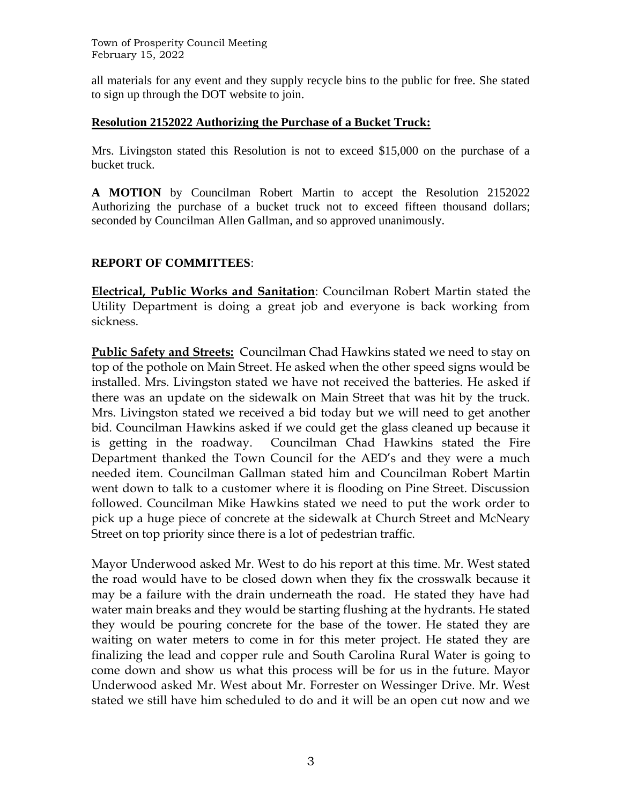all materials for any event and they supply recycle bins to the public for free. She stated to sign up through the DOT website to join.

### **Resolution 2152022 Authorizing the Purchase of a Bucket Truck:**

Mrs. Livingston stated this Resolution is not to exceed \$15,000 on the purchase of a bucket truck.

**A MOTION** by Councilman Robert Martin to accept the Resolution 2152022 Authorizing the purchase of a bucket truck not to exceed fifteen thousand dollars; seconded by Councilman Allen Gallman, and so approved unanimously.

# **REPORT OF COMMITTEES**:

**Electrical, Public Works and Sanitation**: Councilman Robert Martin stated the Utility Department is doing a great job and everyone is back working from sickness.

**Public Safety and Streets:** Councilman Chad Hawkins stated we need to stay on top of the pothole on Main Street. He asked when the other speed signs would be installed. Mrs. Livingston stated we have not received the batteries. He asked if there was an update on the sidewalk on Main Street that was hit by the truck. Mrs. Livingston stated we received a bid today but we will need to get another bid. Councilman Hawkins asked if we could get the glass cleaned up because it is getting in the roadway. Councilman Chad Hawkins stated the Fire Department thanked the Town Council for the AED's and they were a much needed item. Councilman Gallman stated him and Councilman Robert Martin went down to talk to a customer where it is flooding on Pine Street. Discussion followed. Councilman Mike Hawkins stated we need to put the work order to pick up a huge piece of concrete at the sidewalk at Church Street and McNeary Street on top priority since there is a lot of pedestrian traffic.

Mayor Underwood asked Mr. West to do his report at this time. Mr. West stated the road would have to be closed down when they fix the crosswalk because it may be a failure with the drain underneath the road. He stated they have had water main breaks and they would be starting flushing at the hydrants. He stated they would be pouring concrete for the base of the tower. He stated they are waiting on water meters to come in for this meter project. He stated they are finalizing the lead and copper rule and South Carolina Rural Water is going to come down and show us what this process will be for us in the future. Mayor Underwood asked Mr. West about Mr. Forrester on Wessinger Drive. Mr. West stated we still have him scheduled to do and it will be an open cut now and we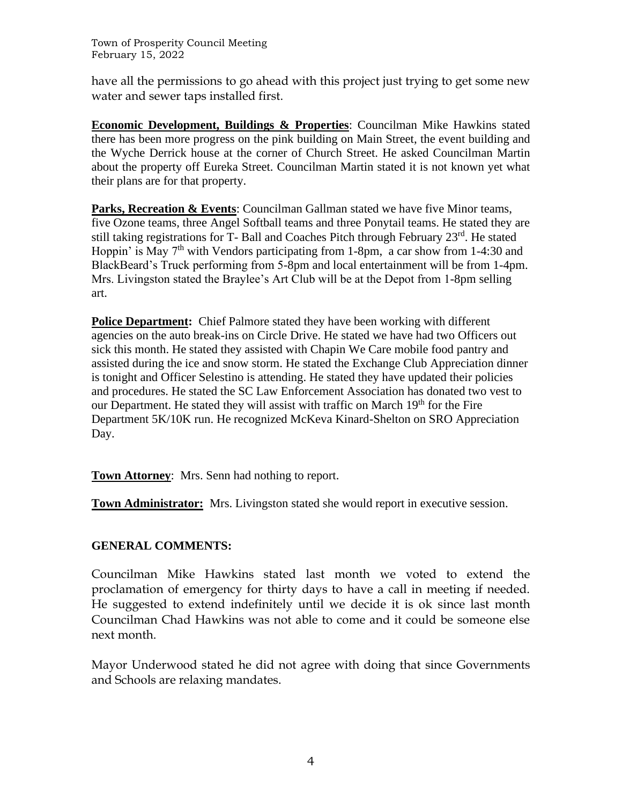have all the permissions to go ahead with this project just trying to get some new water and sewer taps installed first.

**Economic Development, Buildings & Properties**: Councilman Mike Hawkins stated there has been more progress on the pink building on Main Street, the event building and the Wyche Derrick house at the corner of Church Street. He asked Councilman Martin about the property off Eureka Street. Councilman Martin stated it is not known yet what their plans are for that property.

**Parks, Recreation & Events**: Councilman Gallman stated we have five Minor teams, five Ozone teams, three Angel Softball teams and three Ponytail teams. He stated they are still taking registrations for T- Ball and Coaches Pitch through February  $23<sup>rd</sup>$ . He stated Hoppin' is May  $7<sup>th</sup>$  with Vendors participating from 1-8pm, a car show from 1-4:30 and BlackBeard's Truck performing from 5-8pm and local entertainment will be from 1-4pm. Mrs. Livingston stated the Braylee's Art Club will be at the Depot from 1-8pm selling art.

**Police Department:** Chief Palmore stated they have been working with different agencies on the auto break-ins on Circle Drive. He stated we have had two Officers out sick this month. He stated they assisted with Chapin We Care mobile food pantry and assisted during the ice and snow storm. He stated the Exchange Club Appreciation dinner is tonight and Officer Selestino is attending. He stated they have updated their policies and procedures. He stated the SC Law Enforcement Association has donated two vest to our Department. He stated they will assist with traffic on March 19<sup>th</sup> for the Fire Department 5K/10K run. He recognized McKeva Kinard-Shelton on SRO Appreciation Day.

**Town Attorney**: Mrs. Senn had nothing to report.

**Town Administrator:** Mrs. Livingston stated she would report in executive session.

# **GENERAL COMMENTS:**

Councilman Mike Hawkins stated last month we voted to extend the proclamation of emergency for thirty days to have a call in meeting if needed. He suggested to extend indefinitely until we decide it is ok since last month Councilman Chad Hawkins was not able to come and it could be someone else next month.

Mayor Underwood stated he did not agree with doing that since Governments and Schools are relaxing mandates.